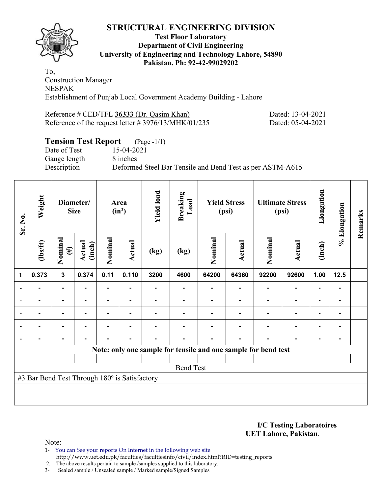

#### **Test Floor Laboratory Department of Civil Engineering University of Engineering and Technology Lahore, 54890 Pakistan. Ph: 92-42-99029202**

To, Construction Manager NESPAK Establishment of Punjab Local Government Academy Building - Lahore

Reference # CED/TFL **36333** (Dr. Qasim Khan) Dated: 13-04-2021 Reference of the request letter # 3976/13/MHK/01/235 Dated: 05-04-2021

# **Tension Test Report** (Page -1/1)

Date of Test 15-04-2021 Gauge length 8 inches

Description Deformed Steel Bar Tensile and Bend Test as per ASTM-A615

| Sr. No. | Weight                                        | Diameter/<br><b>Size</b> |                  | Area<br>$(in^2)$ |        | <b>Yield load</b> | <b>Breaking</b><br>Load | <b>Yield Stress</b><br>(psi)                                   |        | <b>Ultimate Stress</b><br>(psi) |                | Elongation     | % Elongation | Remarks |
|---------|-----------------------------------------------|--------------------------|------------------|------------------|--------|-------------------|-------------------------|----------------------------------------------------------------|--------|---------------------------------|----------------|----------------|--------------|---------|
|         | $\frac{2}{10}$                                | Nominal<br>$(\#)$        | Actual<br>(inch) | Nominal          | Actual | (kg)              | (kg)                    | Nominal                                                        | Actual | Nominal                         | <b>Actual</b>  | (inch)         |              |         |
| 1       | 0.373                                         | $\mathbf{3}$             | 0.374            | 0.11             | 0.110  | 3200              | 4600                    | 64200                                                          | 64360  | 92200                           | 92600          | 1.00           | $12.5$       |         |
|         | $\blacksquare$                                | $\blacksquare$           |                  | ۰                |        |                   |                         |                                                                |        |                                 | $\blacksquare$ | $\blacksquare$ |              |         |
|         |                                               | $\blacksquare$           |                  | ۰                | -      |                   |                         |                                                                |        |                                 | $\blacksquare$ | $\blacksquare$ |              |         |
|         |                                               | $\blacksquare$           |                  |                  |        |                   |                         |                                                                |        |                                 | $\blacksquare$ | $\blacksquare$ |              |         |
|         |                                               |                          |                  |                  |        |                   |                         |                                                                |        |                                 | $\blacksquare$ | ۰              |              |         |
|         |                                               | ۰                        |                  |                  | -      |                   |                         |                                                                |        |                                 | $\blacksquare$ | $\blacksquare$ |              |         |
|         |                                               |                          |                  |                  |        |                   |                         | Note: only one sample for tensile and one sample for bend test |        |                                 |                |                |              |         |
|         |                                               |                          |                  |                  |        |                   |                         |                                                                |        |                                 |                |                |              |         |
|         |                                               |                          |                  |                  |        |                   | <b>Bend Test</b>        |                                                                |        |                                 |                |                |              |         |
|         | #3 Bar Bend Test Through 180° is Satisfactory |                          |                  |                  |        |                   |                         |                                                                |        |                                 |                |                |              |         |
|         |                                               |                          |                  |                  |        |                   |                         |                                                                |        |                                 |                |                |              |         |
|         |                                               |                          |                  |                  |        |                   |                         |                                                                |        |                                 |                |                |              |         |

**I/C Testing Laboratoires UET Lahore, Pakistan**.

Note:

1- You can See your reports On Internet in the following web site http://www.uet.edu.pk/faculties/facultiesinfo/civil/index.html?RID=testing\_reports

2. The above results pertain to sample /samples supplied to this laboratory.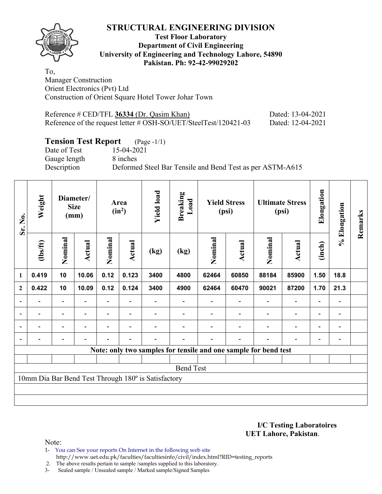**Test Floor Laboratory Department of Civil Engineering University of Engineering and Technology Lahore, 54890 Pakistan. Ph: 92-42-99029202** 

To, Manager Construction Orient Electronics (Pvt) Ltd Construction of Orient Square Hotel Tower Johar Town

| Reference # CED/TFL 36334 (Dr. Qasim Khan)                       | Dated: 13-04-2021 |
|------------------------------------------------------------------|-------------------|
| Reference of the request letter # OSH-SO/UET/SteelTest/120421-03 | Dated: 12-04-2021 |

# **Tension Test Report** (Page -1/1)<br>Date of Test 15-04-2021

Gauge length 8 inches

15-04-2021 Description Deformed Steel Bar Tensile and Bend Test as per ASTM-A615

| Sr. No.                  | Weight                   | Diameter/<br><b>Size</b><br>(mm) |                | Area<br>$(in^2)$ |                          | <b>Yield load</b>                                   | <b>Breaking</b><br>Load                                         | <b>Yield Stress</b><br>(psi) |                          | <b>Ultimate Stress</b><br>(psi) |                          | Elongation               | % Elongation             | Remarks |
|--------------------------|--------------------------|----------------------------------|----------------|------------------|--------------------------|-----------------------------------------------------|-----------------------------------------------------------------|------------------------------|--------------------------|---------------------------------|--------------------------|--------------------------|--------------------------|---------|
|                          | (1bs/ft)                 | Nominal                          | Actual         | Nominal          | Actual                   | (kg)                                                | (kg)                                                            | Nominal                      | Actual                   | Nominal                         | <b>Actual</b>            | (inch)                   |                          |         |
| 1                        | 0.419                    | 10                               | 10.06          | 0.12             | 0.123                    | 3400                                                | 4800                                                            | 62464                        | 60850                    | 88184                           | 85900                    | 1.50                     | 18.8                     |         |
| $\boldsymbol{2}$         | 0.422                    | 10                               | 10.09          | 0.12             | 0.124                    | 3400                                                | 4900                                                            | 62464                        | 60470                    | 90021                           | 87200                    | 1.70                     | 21.3                     |         |
| $\overline{\phantom{a}}$ | $\overline{\phantom{0}}$ | $\overline{\phantom{a}}$         | $\blacksquare$ |                  | $\overline{\phantom{a}}$ |                                                     |                                                                 | $\overline{\phantom{a}}$     | $\blacksquare$           | $\qquad \qquad \blacksquare$    | $\overline{\phantom{a}}$ | $\overline{\phantom{a}}$ | $\blacksquare$           |         |
| $\blacksquare$           | Ξ.                       | $\overline{\phantom{a}}$         | $\blacksquare$ | ٠                | $\overline{\phantom{a}}$ |                                                     |                                                                 |                              | $\overline{\phantom{0}}$ | $\blacksquare$                  | $\overline{a}$           | $\overline{\phantom{a}}$ | $\overline{\phantom{0}}$ |         |
|                          | $\overline{a}$           | $\overline{\phantom{0}}$         | $\overline{a}$ |                  |                          |                                                     |                                                                 |                              | $\overline{\phantom{0}}$ |                                 | $\qquad \qquad -$        | $\overline{\phantom{0}}$ |                          |         |
|                          |                          |                                  |                |                  |                          |                                                     |                                                                 |                              |                          |                                 | $\overline{\phantom{0}}$ | $\overline{\phantom{0}}$ |                          |         |
|                          |                          |                                  |                |                  |                          |                                                     | Note: only two samples for tensile and one sample for bend test |                              |                          |                                 |                          |                          |                          |         |
|                          |                          |                                  |                |                  |                          |                                                     |                                                                 |                              |                          |                                 |                          |                          |                          |         |
|                          |                          |                                  |                |                  |                          |                                                     | <b>Bend Test</b>                                                |                              |                          |                                 |                          |                          |                          |         |
|                          |                          |                                  |                |                  |                          | 10mm Dia Bar Bend Test Through 180° is Satisfactory |                                                                 |                              |                          |                                 |                          |                          |                          |         |
|                          |                          |                                  |                |                  |                          |                                                     |                                                                 |                              |                          |                                 |                          |                          |                          |         |
|                          |                          |                                  |                |                  |                          |                                                     |                                                                 |                              |                          |                                 |                          |                          |                          |         |

**I/C Testing Laboratoires UET Lahore, Pakistan**.

Note:

- 1- You can See your reports On Internet in the following web site http://www.uet.edu.pk/faculties/facultiesinfo/civil/index.html?RID=testing\_reports
- 2. The above results pertain to sample /samples supplied to this laboratory.
- 3- Sealed sample / Unsealed sample / Marked sample/Signed Samples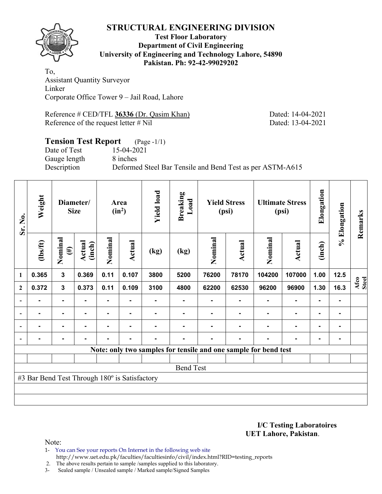

#### **Test Floor Laboratory Department of Civil Engineering University of Engineering and Technology Lahore, 54890 Pakistan. Ph: 92-42-99029202**

To, Assistant Quantity Surveyor Linker Corporate Office Tower 9 – Jail Road, Lahore

Reference # CED/TFL **36336** (Dr. Qasim Khan) Dated: 14-04-2021 Reference of the request letter # Nil Dated: 13-04-2021

#### **Tension Test Report** (Page -1/1) Date of Test 15-04-2021

Gauge length 8 inches

Description Deformed Steel Bar Tensile and Bend Test as per ASTM-A615

| Sr. No.      | Weight                                        | Diameter/<br><b>Size</b> |                  | Area<br>$(in^2)$ |                | <b>Yield load</b> | <b>Breaking</b><br>Load | <b>Yield Stress</b><br>(psi) |                |                                                                 | <b>Ultimate Stress</b><br>(psi) | Elongation     | % Elongation | Remarks       |
|--------------|-----------------------------------------------|--------------------------|------------------|------------------|----------------|-------------------|-------------------------|------------------------------|----------------|-----------------------------------------------------------------|---------------------------------|----------------|--------------|---------------|
|              | (1bs/ft)                                      | Nominal<br>$(\#)$        | Actual<br>(inch) | Nominal          | Actual         | (kg)              | (kg)                    | Nominal                      | Actual         | Nominal                                                         | Actual                          | (inch)         |              |               |
| 1            | 0.365                                         | $\mathbf{3}$             | 0.369            | 0.11             | 0.107          | 3800              | 5200                    | 76200                        | 78170          | 104200                                                          | 107000                          | 1.00           | 12.5         |               |
| $\mathbf{2}$ | 0.372                                         | $\mathbf{3}$             | 0.373            | 0.11             | 0.109          | 3100              | 4800                    | 62200                        | 62530          | 96200                                                           | 96900                           | 1.30           | 16.3         | Afco<br>Steel |
|              |                                               | ۰                        |                  | $\blacksquare$   |                |                   |                         |                              |                |                                                                 | $\blacksquare$                  |                |              |               |
|              |                                               | $\blacksquare$           |                  |                  |                |                   |                         |                              |                |                                                                 | $\blacksquare$                  | $\blacksquare$ |              |               |
|              |                                               | $\blacksquare$           |                  |                  | $\blacksquare$ |                   |                         |                              |                |                                                                 | $\blacksquare$                  | $\blacksquare$ |              |               |
|              | $\blacksquare$                                | ۰                        |                  | ۰                | $\blacksquare$ | $\blacksquare$    | $\blacksquare$          | $\blacksquare$               | $\blacksquare$ |                                                                 | $\blacksquare$                  | $\blacksquare$ |              |               |
|              |                                               |                          |                  |                  |                |                   |                         |                              |                | Note: only two samples for tensile and one sample for bend test |                                 |                |              |               |
|              |                                               |                          |                  |                  |                |                   |                         |                              |                |                                                                 |                                 |                |              |               |
|              |                                               |                          |                  |                  |                |                   | <b>Bend Test</b>        |                              |                |                                                                 |                                 |                |              |               |
|              | #3 Bar Bend Test Through 180° is Satisfactory |                          |                  |                  |                |                   |                         |                              |                |                                                                 |                                 |                |              |               |
|              |                                               |                          |                  |                  |                |                   |                         |                              |                |                                                                 |                                 |                |              |               |
|              |                                               |                          |                  |                  |                |                   |                         |                              |                |                                                                 |                                 |                |              |               |

**I/C Testing Laboratoires UET Lahore, Pakistan**.

Note:

1- You can See your reports On Internet in the following web site http://www.uet.edu.pk/faculties/facultiesinfo/civil/index.html?RID=testing\_reports

2. The above results pertain to sample /samples supplied to this laboratory.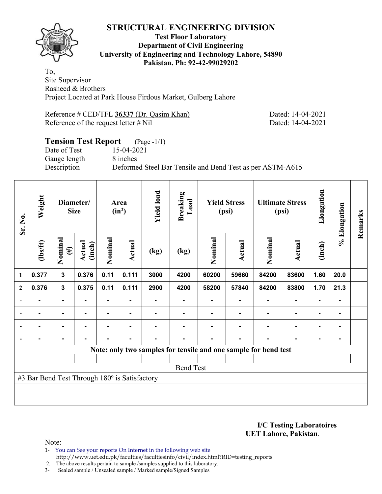

#### **Test Floor Laboratory Department of Civil Engineering University of Engineering and Technology Lahore, 54890 Pakistan. Ph: 92-42-99029202**

To, Site Supervisor Rasheed & Brothers Project Located at Park House Firdous Market, Gulberg Lahore

Reference # CED/TFL 36337 (Dr. Qasim Khan) Dated: 14-04-2021 Reference of the request letter # Nil Dated: 14-04-2021

# **Tension Test Report** (Page -1/1) Date of Test 15-04-2021 Gauge length 8 inches Description Deformed Steel Bar Tensile and Bend Test as per ASTM-A615

| Sr. No.        | Weight                                        | Diameter/<br><b>Size</b> |                  | Area<br>$(in^2)$ |                | <b>Yield load</b> | <b>Breaking</b><br>Load                                         | <b>Yield Stress</b><br>(psi) |                |                | <b>Ultimate Stress</b><br>(psi) | Elongation     | % Elongation   | Remarks |
|----------------|-----------------------------------------------|--------------------------|------------------|------------------|----------------|-------------------|-----------------------------------------------------------------|------------------------------|----------------|----------------|---------------------------------|----------------|----------------|---------|
|                | (1bs/ft)                                      | Nominal<br>$(\#)$        | Actual<br>(inch) | Nominal          | Actual         | (kg)              | (kg)                                                            | Nominal                      | Actual         | Nominal        | Actual                          | (inch)         |                |         |
| 1              | 0.377                                         | $\mathbf{3}$             | 0.376            | 0.11             | 0.111          | 3000              | 4200                                                            | 60200                        | 59660          | 84200          | 83600                           | 1.60           | 20.0           |         |
| $\mathbf{2}$   | 0.376                                         | $\mathbf{3}$             | 0.375            | 0.11             | 0.111          | 2900              | 4200                                                            | 58200                        | 57840          | 84200          | 83800                           | 1.70           | 21.3           |         |
| $\blacksquare$ |                                               | ۰                        |                  |                  |                |                   |                                                                 |                              |                |                | $\blacksquare$                  | $\blacksquare$ |                |         |
| $\overline{a}$ | $\blacksquare$                                | ۰                        | -                |                  | ۰              |                   |                                                                 |                              |                | ۰              | $\blacksquare$                  | ۰              | ۰              |         |
|                | $\blacksquare$                                | $\blacksquare$           | $\blacksquare$   | ٠.               | $\blacksquare$ |                   |                                                                 |                              | $\blacksquare$ | $\blacksquare$ | $\blacksquare$                  | $\blacksquare$ | ۰              |         |
|                |                                               | ۰                        |                  |                  | ٠              |                   |                                                                 |                              |                |                | $\blacksquare$                  | $\blacksquare$ | $\blacksquare$ |         |
|                |                                               |                          |                  |                  |                |                   | Note: only two samples for tensile and one sample for bend test |                              |                |                |                                 |                |                |         |
|                |                                               |                          |                  |                  |                |                   |                                                                 |                              |                |                |                                 |                |                |         |
|                |                                               |                          |                  |                  |                |                   | <b>Bend Test</b>                                                |                              |                |                |                                 |                |                |         |
|                | #3 Bar Bend Test Through 180° is Satisfactory |                          |                  |                  |                |                   |                                                                 |                              |                |                |                                 |                |                |         |
|                |                                               |                          |                  |                  |                |                   |                                                                 |                              |                |                |                                 |                |                |         |
|                |                                               |                          |                  |                  |                |                   |                                                                 |                              |                |                |                                 |                |                |         |

**I/C Testing Laboratoires UET Lahore, Pakistan**.

Note:

1- You can See your reports On Internet in the following web site http://www.uet.edu.pk/faculties/facultiesinfo/civil/index.html?RID=testing\_reports

2. The above results pertain to sample /samples supplied to this laboratory.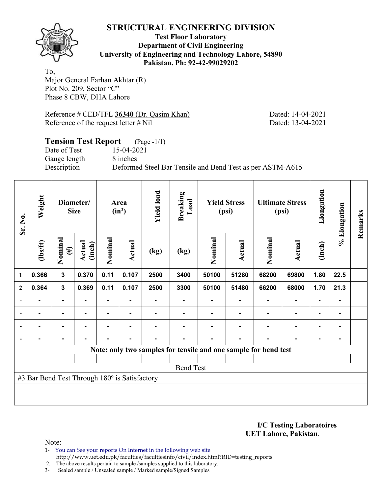

#### **Test Floor Laboratory Department of Civil Engineering University of Engineering and Technology Lahore, 54890 Pakistan. Ph: 92-42-99029202**

To, Major General Farhan Akhtar (R) Plot No. 209, Sector "C" Phase 8 CBW, DHA Lahore

Reference # CED/TFL 36340 (Dr. Qasim Khan) Dated: 14-04-2021 Reference of the request letter # Nil Dated: 13-04-2021

#### **Tension Test Report** (Page -1/1) Date of Test 15-04-2021 Gauge length 8 inches Description Deformed Steel Bar Tensile and Bend Test as per ASTM-A615

| Sr. No.        | Weight                                        | Diameter/<br><b>Size</b> |                  | Area<br>$(in^2)$ |        | <b>Yield load</b> | <b>Breaking</b><br>Load | <b>Yield Stress</b><br>(psi)                                    |        | <b>Ultimate Stress</b><br>(psi) |                | Elongation     | % Elongation | Remarks |
|----------------|-----------------------------------------------|--------------------------|------------------|------------------|--------|-------------------|-------------------------|-----------------------------------------------------------------|--------|---------------------------------|----------------|----------------|--------------|---------|
|                | (1bs/ft)                                      | Nominal<br>$(\#)$        | Actual<br>(inch) | Nominal          | Actual | (kg)              | (kg)                    | Nominal                                                         | Actual | Nominal                         | Actual         | (inch)         |              |         |
| 1              | 0.366                                         | $\mathbf{3}$             | 0.370            | 0.11             | 0.107  | 2500              | 3400                    | 50100                                                           | 51280  | 68200                           | 69800          | 1.80           | 22.5         |         |
| $\mathbf{2}$   | 0.364                                         | $\mathbf{3}$             | 0.369            | 0.11             | 0.107  | 2500              | 3300                    | 50100                                                           | 51480  | 66200                           | 68000          | 1.70           | 21.3         |         |
|                |                                               | ۰                        |                  | ۰                |        |                   |                         |                                                                 |        |                                 | ۰              | ٠              |              |         |
| $\blacksquare$ |                                               | ۰                        |                  |                  |        |                   |                         |                                                                 |        |                                 | $\blacksquare$ | $\blacksquare$ |              |         |
| $\blacksquare$ | -                                             | ۰                        | $\blacksquare$   | -                | ٠      |                   |                         |                                                                 |        | $\blacksquare$                  | ۰              | $\blacksquare$ |              |         |
|                |                                               | ۰                        |                  |                  | ۰      |                   |                         |                                                                 |        |                                 | $\blacksquare$ | $\blacksquare$ |              |         |
|                |                                               |                          |                  |                  |        |                   |                         | Note: only two samples for tensile and one sample for bend test |        |                                 |                |                |              |         |
|                |                                               |                          |                  |                  |        |                   |                         |                                                                 |        |                                 |                |                |              |         |
|                |                                               |                          |                  |                  |        |                   | <b>Bend Test</b>        |                                                                 |        |                                 |                |                |              |         |
|                | #3 Bar Bend Test Through 180° is Satisfactory |                          |                  |                  |        |                   |                         |                                                                 |        |                                 |                |                |              |         |
|                |                                               |                          |                  |                  |        |                   |                         |                                                                 |        |                                 |                |                |              |         |
|                |                                               |                          |                  |                  |        |                   |                         |                                                                 |        |                                 |                |                |              |         |

**I/C Testing Laboratoires UET Lahore, Pakistan**.

Note:

1- You can See your reports On Internet in the following web site http://www.uet.edu.pk/faculties/facultiesinfo/civil/index.html?RID=testing\_reports

2. The above results pertain to sample /samples supplied to this laboratory.